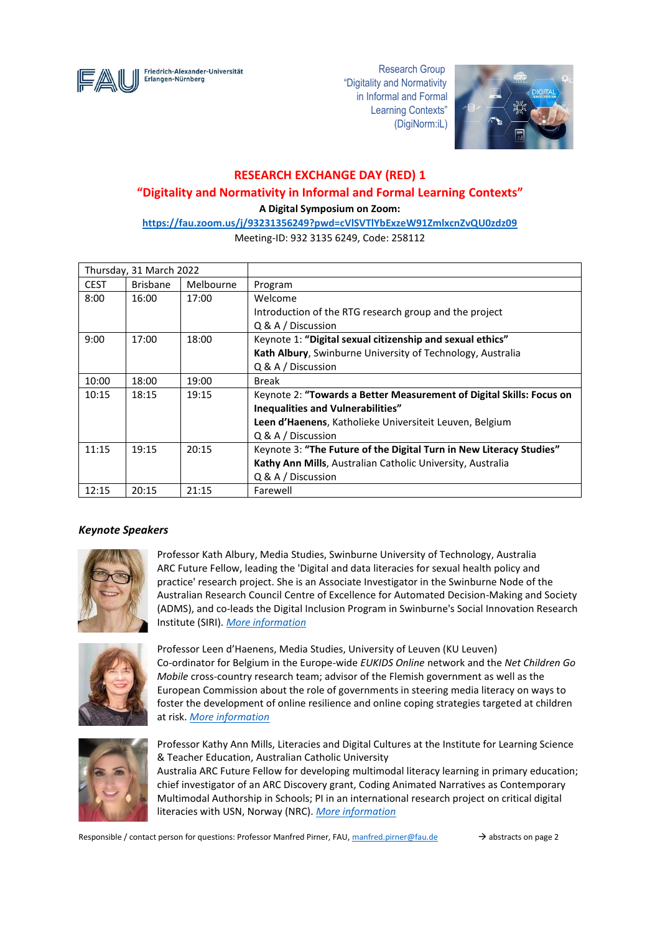

 "Digitality and Normativity in Informal and Formal Learning Contexts" (DigiNorm:iL)



# **RESEARCH EXCHANGE DAY (RED) 1**

# **"Digitality and Normativity in Informal and Formal Learning Contexts"**

**A Digital Symposium on Zoom:** 

**<https://fau.zoom.us/j/93231356249?pwd=cVlSVTlYbExzeW91ZmlxcnZvQU0zdz09>**

Meeting-ID: 932 3135 6249, Code: 258112

| Thursday, 31 March 2022 |                 |           |                                                                      |
|-------------------------|-----------------|-----------|----------------------------------------------------------------------|
| <b>CEST</b>             | <b>Brisbane</b> | Melbourne | Program                                                              |
| 8:00                    | 16:00           | 17:00     | Welcome                                                              |
|                         |                 |           | Introduction of the RTG research group and the project               |
|                         |                 |           | $Q & A /$ Discussion                                                 |
| 9:00                    | 17:00           | 18:00     | Keynote 1: "Digital sexual citizenship and sexual ethics"            |
|                         |                 |           | Kath Albury, Swinburne University of Technology, Australia           |
|                         |                 |           | Q & A / Discussion                                                   |
| 10:00                   | 18:00           | 19:00     | <b>Break</b>                                                         |
| 10:15                   | 18:15           | 19:15     | Keynote 2: "Towards a Better Measurement of Digital Skills: Focus on |
|                         |                 |           | Inequalities and Vulnerabilities"                                    |
|                         |                 |           | Leen d'Haenens, Katholieke Universiteit Leuven, Belgium              |
|                         |                 |           | $Q & A /$ Discussion                                                 |
| 11:15                   | 19:15           | 20:15     | Keynote 3: "The Future of the Digital Turn in New Literacy Studies"  |
|                         |                 |           | Kathy Ann Mills, Australian Catholic University, Australia           |
|                         |                 |           | Q & A / Discussion                                                   |
| 12:15                   | 20:15           | 21:15     | Farewell                                                             |

# *Keynote Speakers*



Professor Kath Albury, Media Studies, Swinburne University of Technology, Australia ARC Future Fellow, leading the 'Digital and data literacies for sexual health policy and practice' research project. She is an Associate Investigator in the Swinburne Node of the Australian Research Council Centre of Excellence for Automated Decision-Making and Society (ADMS), and co-leads the Digital Inclusion Program in Swinburne's Social Innovation Research Institute (SIRI). *[More information](https://www.swinburne.edu.au/research/our-research/access-our-research/find-a-researcher-or-supervisor/researcher-profile/?id=kalbury)*



Professor Leen d'Haenens, Media Studies, University of Leuven (KU Leuven) Co-ordinator for Belgium in the Europe-wide *EUKIDS Online* network and the *Net Children Go Mobile* cross-country research team; advisor of the Flemish government as well as the European Commission about the role of governments in steering media literacy on ways to foster the development of online resilience and online coping strategies targeted at children at risk. *[More information](https://soc.kuleuven.be/ims/staff/00046656)*



Professor Kathy Ann Mills, Literacies and Digital Cultures at the Institute for Learning Science & Teacher Education, Australian Catholic University Australia ARC Future Fellow for developing multimodal literacy learning in primary education; chief investigator of an ARC Discovery grant, Coding Animated Narratives as Contemporary Multimodal Authorship in Schools; PI in an international research project on critical digital literacies with USN, Norway (NRC). *[More information](https://www.acu.edu.au/research/our-research-institutes/institute-for-learning-sciences-and-teacher-education/our-people/professor-kathy-mills)*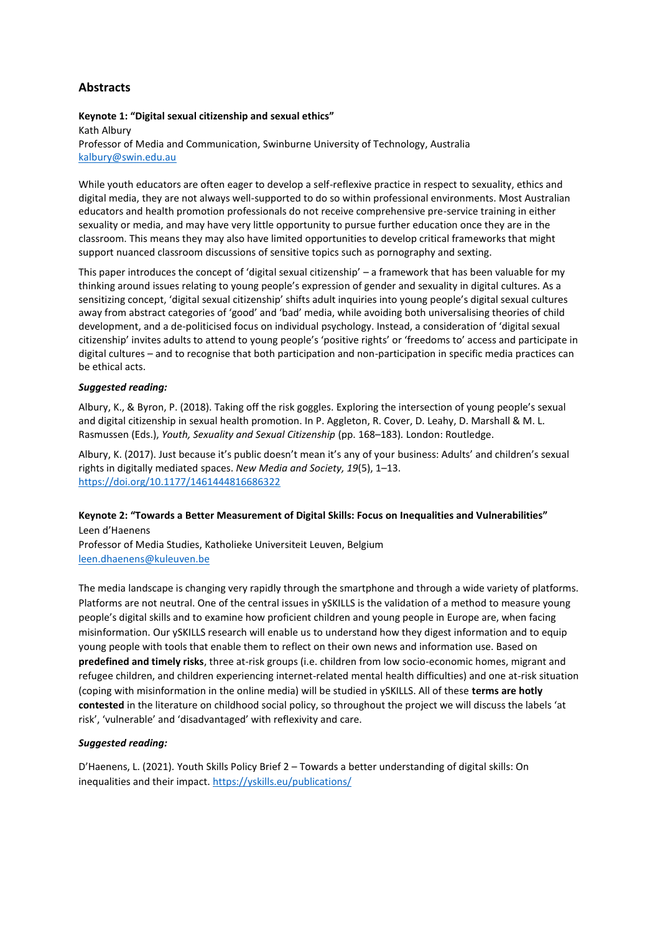# **Abstracts**

#### **Keynote 1: "Digital sexual citizenship and sexual ethics"**

Kath Albury Professor of Media and Communication, Swinburne University of Technology, Australia [kalbury@swin.edu.au](mailto:kalbury@swin.edu.au)

While youth educators are often eager to develop a self-reflexive practice in respect to sexuality, ethics and digital media, they are not always well-supported to do so within professional environments. Most Australian educators and health promotion professionals do not receive comprehensive pre-service training in either sexuality or media, and may have very little opportunity to pursue further education once they are in the classroom. This means they may also have limited opportunities to develop critical frameworks that might support nuanced classroom discussions of sensitive topics such as pornography and sexting.

This paper introduces the concept of 'digital sexual citizenship' – a framework that has been valuable for my thinking around issues relating to young people's expression of gender and sexuality in digital cultures. As a sensitizing concept, 'digital sexual citizenship' shifts adult inquiries into young people's digital sexual cultures away from abstract categories of 'good' and 'bad' media, while avoiding both universalising theories of child development, and a de-politicised focus on individual psychology. Instead, a consideration of 'digital sexual citizenship' invites adults to attend to young people's 'positive rights' or 'freedoms to' access and participate in digital cultures – and to recognise that both participation and non-participation in specific media practices can be ethical acts.

#### *Suggested reading:*

Albury, K., & Byron, P. (2018). Taking off the risk goggles. Exploring the intersection of young people's sexual and digital citizenship in sexual health promotion. In P. Aggleton, R. Cover, D. Leahy, D. Marshall & M. L. Rasmussen (Eds.), *Youth, Sexuality and Sexual Citizenship* (pp. 168–183)*.* London: Routledge.

Albury, K. (2017). Just because it's public doesn't mean it's any of your business: Adults' and children's sexual rights in digitally mediated spaces. *New Media and Society, 19*(5), 1–13. <https://doi.org/10.1177/1461444816686322>

## **Keynote 2: "Towards a Better Measurement of Digital Skills: Focus on Inequalities and Vulnerabilities"** Leen d'Haenens

Professor of Media Studies, Katholieke Universiteit Leuven, Belgium [leen.dhaenens@kuleuven.be](mailto:leen.dhaenens@kuleuven.be)

The media landscape is changing very rapidly through the smartphone and through a wide variety of platforms. Platforms are not neutral. One of the central issues in ySKILLS is the validation of a method to measure young people's digital skills and to examine how proficient children and young people in Europe are, when facing misinformation. Our ySKILLS research will enable us to understand how they digest information and to equip young people with tools that enable them to reflect on their own news and information use. Based on **predefined and timely risks**, three at-risk groups (i.e. children from low socio-economic homes, migrant and refugee children, and children experiencing internet-related mental health difficulties) and one at-risk situation (coping with misinformation in the online media) will be studied in ySKILLS. All of these **terms are hotly contested** in the literature on childhood social policy, so throughout the project we will discuss the labels 'at risk', 'vulnerable' and 'disadvantaged' with reflexivity and care.

### *Suggested reading:*

D'Haenens, L. (2021). Youth Skills Policy Brief 2 – Towards a better understanding of digital skills: On inequalities and their impact.<https://yskills.eu/publications/>